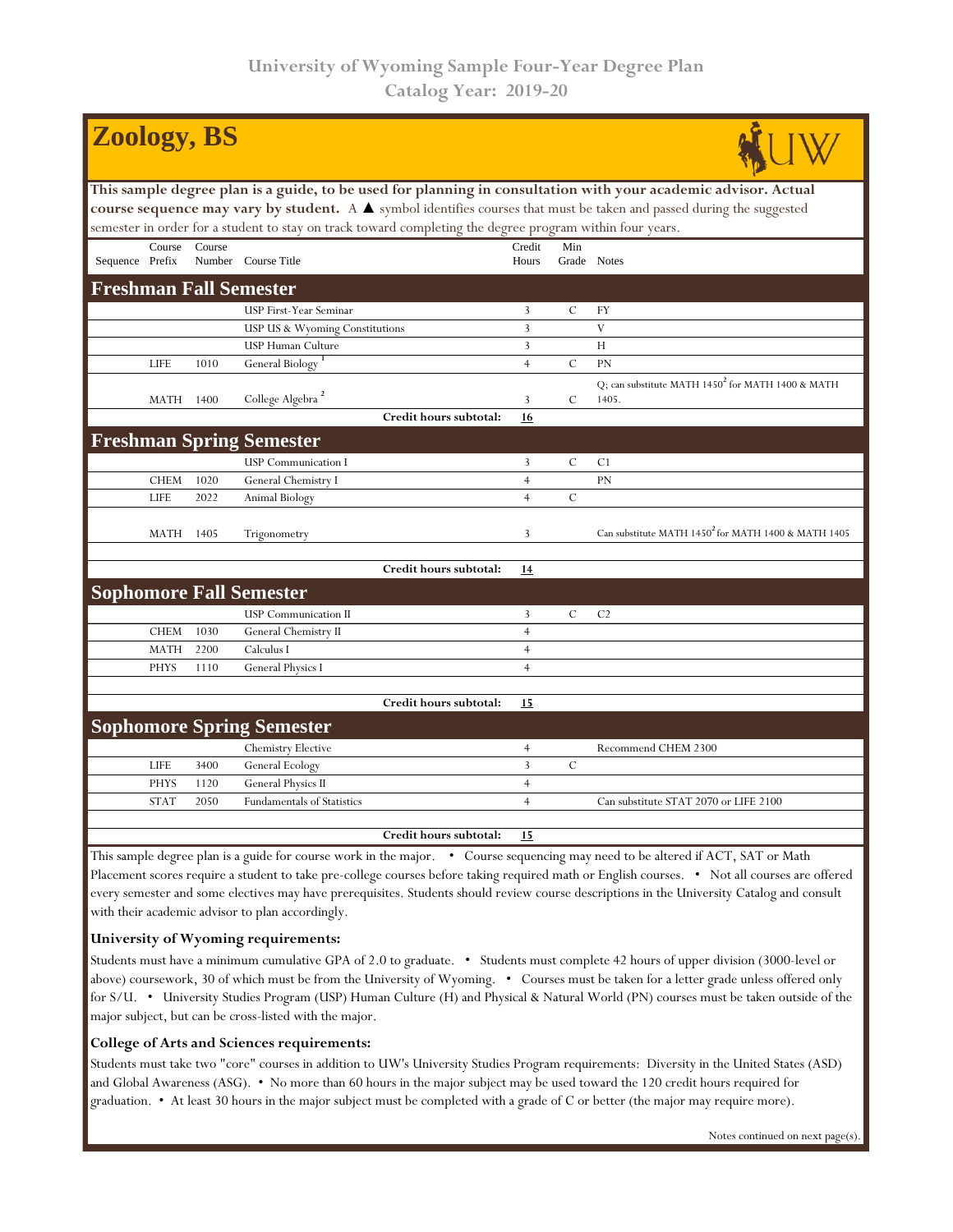| <b>Zoology, BS</b>                                                                                                    |                                 |        |                                   |                        |                                  |               |                                                                        |  |  |  |  |  |  |
|-----------------------------------------------------------------------------------------------------------------------|---------------------------------|--------|-----------------------------------|------------------------|----------------------------------|---------------|------------------------------------------------------------------------|--|--|--|--|--|--|
| This sample degree plan is a guide, to be used for planning in consultation with your academic advisor. Actual        |                                 |        |                                   |                        |                                  |               |                                                                        |  |  |  |  |  |  |
| course sequence may vary by student. A A symbol identifies courses that must be taken and passed during the suggested |                                 |        |                                   |                        |                                  |               |                                                                        |  |  |  |  |  |  |
| semester in order for a student to stay on track toward completing the degree program within four years.              |                                 |        |                                   |                        |                                  |               |                                                                        |  |  |  |  |  |  |
|                                                                                                                       | Course                          | Course |                                   |                        | Credit                           | Min           |                                                                        |  |  |  |  |  |  |
| Sequence Prefix                                                                                                       |                                 |        | Number Course Title               |                        | Hours                            | Grade Notes   |                                                                        |  |  |  |  |  |  |
| <b>Freshman Fall Semester</b>                                                                                         |                                 |        |                                   |                        |                                  |               |                                                                        |  |  |  |  |  |  |
|                                                                                                                       |                                 |        | USP First-Year Seminar            |                        | 3                                | $\mathcal{C}$ | FY                                                                     |  |  |  |  |  |  |
|                                                                                                                       |                                 |        | USP US & Wyoming Constitutions    |                        | 3                                |               | V                                                                      |  |  |  |  |  |  |
|                                                                                                                       |                                 |        | <b>USP Human Culture</b>          |                        | 3                                |               | H                                                                      |  |  |  |  |  |  |
|                                                                                                                       | <b>LIFE</b>                     | 1010   | General Biology                   |                        | $\overline{4}$                   | $\mathcal{C}$ | <b>PN</b>                                                              |  |  |  |  |  |  |
|                                                                                                                       | <b>MATH</b>                     | 1400   | College Algebra <sup>2</sup>      |                        | $\mathbf{3}$                     | $\mathcal{C}$ | Q; can substitute MATH 1450 <sup>2</sup> for MATH 1400 & MATH<br>1405. |  |  |  |  |  |  |
|                                                                                                                       |                                 |        |                                   | Credit hours subtotal: | 16                               |               |                                                                        |  |  |  |  |  |  |
|                                                                                                                       | <b>Freshman Spring Semester</b> |        |                                   |                        |                                  |               |                                                                        |  |  |  |  |  |  |
|                                                                                                                       |                                 |        |                                   |                        |                                  | $\mathcal{C}$ | C <sub>1</sub>                                                         |  |  |  |  |  |  |
|                                                                                                                       |                                 |        | <b>USP</b> Communication I        |                        | $\mathbf{3}$                     |               |                                                                        |  |  |  |  |  |  |
|                                                                                                                       | <b>CHEM</b><br><b>LIFE</b>      | 1020   | General Chemistry I               |                        | $\overline{4}$<br>$\overline{4}$ | $\mathcal{C}$ | PN                                                                     |  |  |  |  |  |  |
|                                                                                                                       |                                 | 2022   | Animal Biology                    |                        |                                  |               |                                                                        |  |  |  |  |  |  |
|                                                                                                                       | MATH                            | 1405   | Trigonometry                      |                        | 3                                |               | Can substitute MATH 1450 <sup>2</sup> for MATH 1400 & MATH 1405        |  |  |  |  |  |  |
|                                                                                                                       |                                 |        |                                   | Credit hours subtotal: | 14                               |               |                                                                        |  |  |  |  |  |  |
|                                                                                                                       |                                 |        | <b>Sophomore Fall Semester</b>    |                        |                                  |               |                                                                        |  |  |  |  |  |  |
|                                                                                                                       |                                 |        | <b>USP</b> Communication II       |                        | $\overline{3}$                   | $\mathcal{C}$ | C <sub>2</sub>                                                         |  |  |  |  |  |  |
|                                                                                                                       | <b>CHEM</b>                     | 1030   | General Chemistry II              |                        | $\overline{4}$                   |               |                                                                        |  |  |  |  |  |  |
|                                                                                                                       | <b>MATH</b>                     | 2200   | Calculus I                        |                        | $\overline{4}$                   |               |                                                                        |  |  |  |  |  |  |
|                                                                                                                       | <b>PHYS</b>                     | 1110   | General Physics I                 |                        | $\overline{4}$                   |               |                                                                        |  |  |  |  |  |  |
|                                                                                                                       |                                 |        |                                   |                        |                                  |               |                                                                        |  |  |  |  |  |  |
|                                                                                                                       |                                 |        |                                   | Credit hours subtotal: | 15                               |               |                                                                        |  |  |  |  |  |  |
|                                                                                                                       |                                 |        | <b>Sophomore Spring Semester</b>  |                        |                                  |               |                                                                        |  |  |  |  |  |  |
|                                                                                                                       |                                 |        | <b>Chemistry Elective</b>         |                        | $\overline{4}$                   |               | Recommend CHEM 2300                                                    |  |  |  |  |  |  |
|                                                                                                                       | <b>LIFE</b>                     | 3400   | General Ecology                   |                        | 3                                | $\mathcal{C}$ |                                                                        |  |  |  |  |  |  |
|                                                                                                                       | <b>PHYS</b>                     | 1120   | General Physics II                |                        | $\overline{4}$                   |               |                                                                        |  |  |  |  |  |  |
|                                                                                                                       | <b>STAT</b>                     | 2050   | <b>Fundamentals of Statistics</b> |                        | $\overline{4}$                   |               | Can substitute STAT 2070 or LIFE 2100                                  |  |  |  |  |  |  |
|                                                                                                                       |                                 |        |                                   |                        |                                  |               |                                                                        |  |  |  |  |  |  |
|                                                                                                                       |                                 |        |                                   | Credit hours subtotal: | 15                               |               |                                                                        |  |  |  |  |  |  |

This sample degree plan is a guide for course work in the major. • Course sequencing may need to be altered if ACT, SAT or Math Placement scores require a student to take pre-college courses before taking required math or English courses. • Not all courses are offered every semester and some electives may have prerequisites. Students should review course descriptions in the University Catalog and consult with their academic advisor to plan accordingly.

## **University of Wyoming requirements:**

Students must have a minimum cumulative GPA of 2.0 to graduate. • Students must complete 42 hours of upper division (3000-level or above) coursework, 30 of which must be from the University of Wyoming. • Courses must be taken for a letter grade unless offered only for S/U. • University Studies Program (USP) Human Culture (H) and Physical & Natural World (PN) courses must be taken outside of the major subject, but can be cross-listed with the major.

## **College of Arts and Sciences requirements:**

Students must take two "core" courses in addition to UW's University Studies Program requirements: Diversity in the United States (ASD) and Global Awareness (ASG). • No more than 60 hours in the major subject may be used toward the 120 credit hours required for graduation. • At least 30 hours in the major subject must be completed with a grade of C or better (the major may require more).